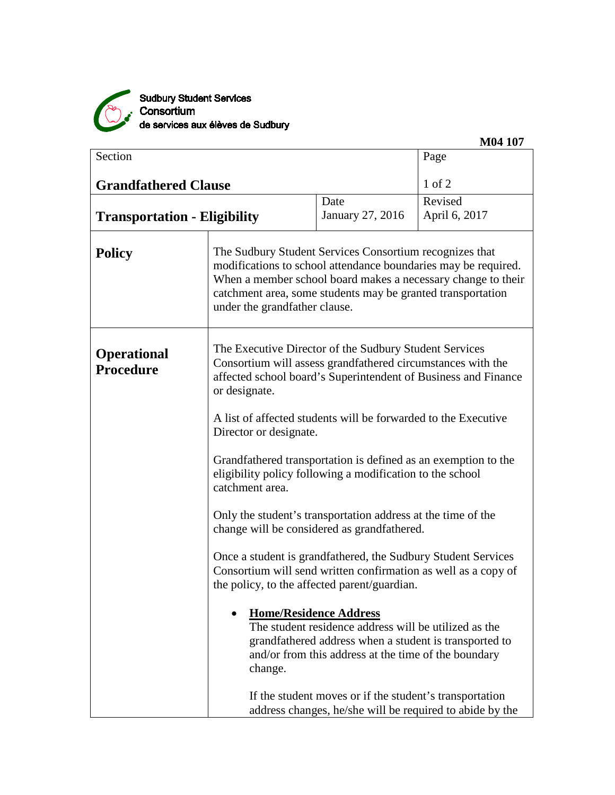

Sudbury Student Services<br>Consortium<br>de services aux élèves de Sudbury

| Section                                |                                                                                                                                                                                                          |                                                                                                                                                                                                                                                                                           | Page                                                           |  |
|----------------------------------------|----------------------------------------------------------------------------------------------------------------------------------------------------------------------------------------------------------|-------------------------------------------------------------------------------------------------------------------------------------------------------------------------------------------------------------------------------------------------------------------------------------------|----------------------------------------------------------------|--|
|                                        |                                                                                                                                                                                                          |                                                                                                                                                                                                                                                                                           |                                                                |  |
| <b>Grandfathered Clause</b>            |                                                                                                                                                                                                          |                                                                                                                                                                                                                                                                                           | $1$ of $2$                                                     |  |
|                                        |                                                                                                                                                                                                          | Date                                                                                                                                                                                                                                                                                      | Revised                                                        |  |
| <b>Transportation - Eligibility</b>    |                                                                                                                                                                                                          | January 27, 2016                                                                                                                                                                                                                                                                          | April 6, 2017                                                  |  |
| <b>Policy</b>                          |                                                                                                                                                                                                          | The Sudbury Student Services Consortium recognizes that<br>modifications to school attendance boundaries may be required.<br>When a member school board makes a necessary change to their<br>catchment area, some students may be granted transportation<br>under the grandfather clause. |                                                                |  |
| <b>Operational</b><br><b>Procedure</b> | The Executive Director of the Sudbury Student Services<br>Consortium will assess grandfathered circumstances with the<br>affected school board's Superintendent of Business and Finance<br>or designate. |                                                                                                                                                                                                                                                                                           |                                                                |  |
|                                        | A list of affected students will be forwarded to the Executive<br>Director or designate.                                                                                                                 |                                                                                                                                                                                                                                                                                           |                                                                |  |
|                                        | Grandfathered transportation is defined as an exemption to the<br>eligibility policy following a modification to the school<br>catchment area.                                                           |                                                                                                                                                                                                                                                                                           |                                                                |  |
|                                        | Only the student's transportation address at the time of the<br>change will be considered as grandfathered.                                                                                              |                                                                                                                                                                                                                                                                                           |                                                                |  |
|                                        | Once a student is grandfathered, the Sudbury Student Services<br>the policy, to the affected parent/guardian.                                                                                            |                                                                                                                                                                                                                                                                                           | Consortium will send written confirmation as well as a copy of |  |
|                                        | <b>Home/Residence Address</b><br>change.                                                                                                                                                                 | The student residence address will be utilized as the<br>grandfathered address when a student is transported to<br>and/or from this address at the time of the boundary                                                                                                                   |                                                                |  |
|                                        |                                                                                                                                                                                                          | If the student moves or if the student's transportation                                                                                                                                                                                                                                   | address changes, he/she will be required to abide by the       |  |